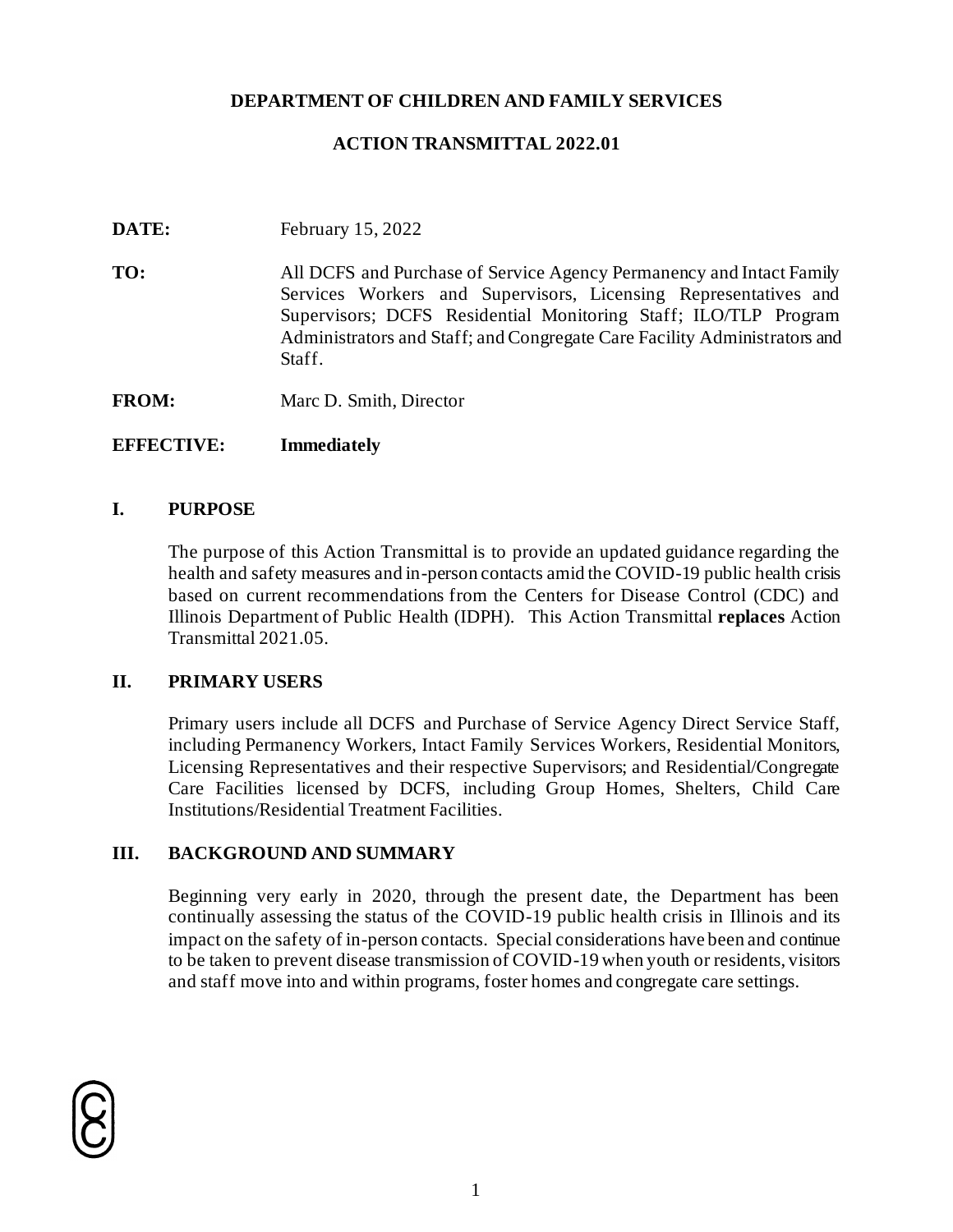### **DEPARTMENT OF CHILDREN AND FAMILY SERVICES**

### **ACTION TRANSMITTAL 2022.01**

**DATE:** February 15, 2022

**TO:** All DCFS and Purchase of Service Agency Permanency and Intact Family Services Workers and Supervisors, Licensing Representatives and Supervisors; DCFS Residential Monitoring Staff; ILO/TLP Program Administrators and Staff; and Congregate Care Facility Administrators and Staff.

**FROM:** Marc D. Smith, Director

### **EFFECTIVE: Immediately**

#### **I. PURPOSE**

The purpose of this Action Transmittal is to provide an updated guidance regarding the health and safety measures and in-person contacts amid the COVID-19 public health crisis based on current recommendations from the Centers for Disease Control (CDC) and Illinois Department of Public Health (IDPH). This Action Transmittal **replaces** Action Transmittal 2021.05.

### **II. PRIMARY USERS**

Primary users include all DCFS and Purchase of Service Agency Direct Service Staff, including Permanency Workers, Intact Family Services Workers, Residential Monitors, Licensing Representatives and their respective Supervisors; and Residential/Congregate Care Facilities licensed by DCFS, including Group Homes, Shelters, Child Care Institutions/Residential Treatment Facilities.

### **III. BACKGROUND AND SUMMARY**

Beginning very early in 2020, through the present date, the Department has been continually assessing the status of the COVID-19 public health crisis in Illinois and its impact on the safety of in-person contacts. Special considerations have been and continue to be taken to prevent disease transmission of COVID-19 when youth or residents, visitors and staff move into and within programs, foster homes and congregate care settings.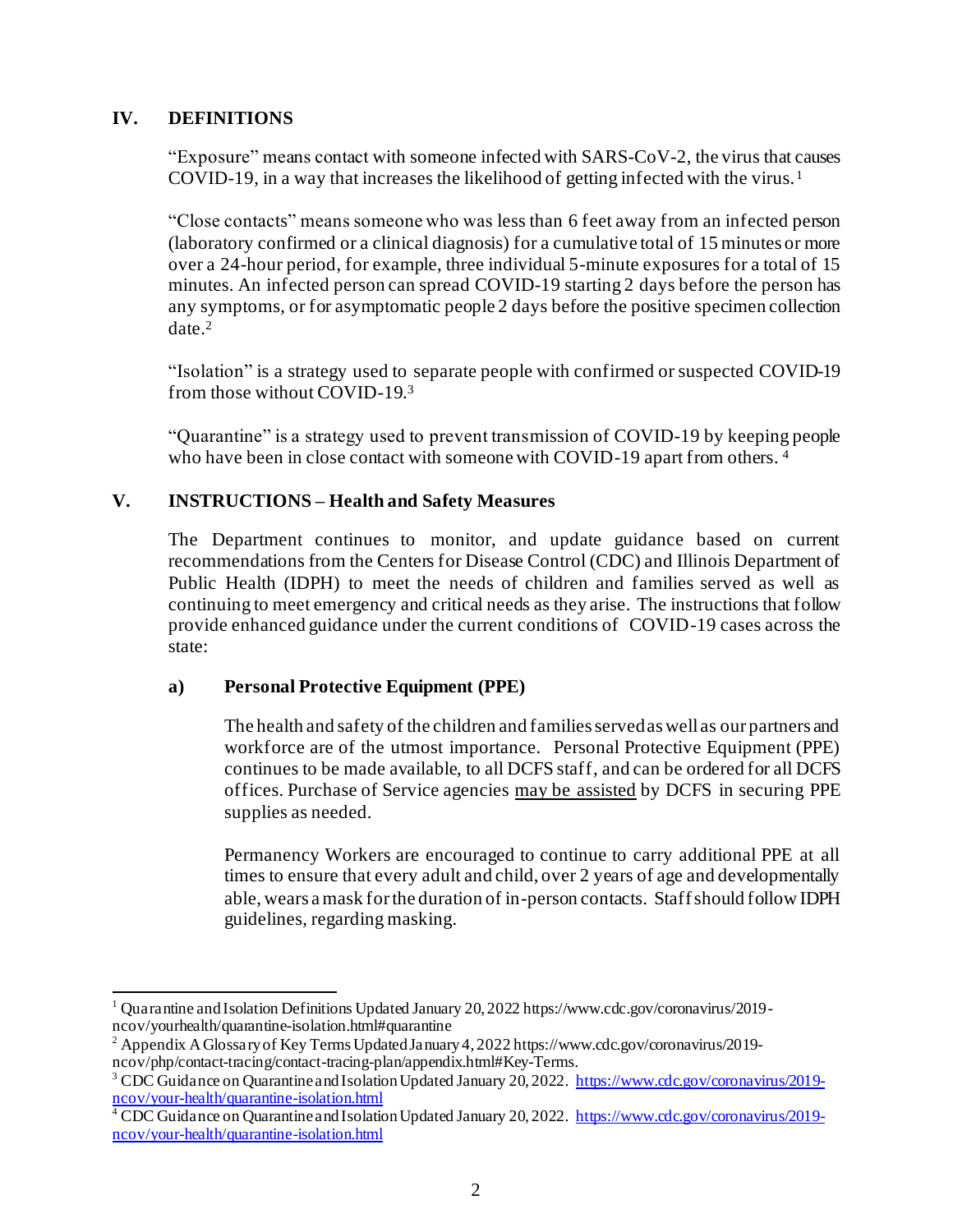# **IV. DEFINITIONS**

"Exposure" means contact with someone infected with SARS-CoV-2, the virus that causes COVID-19, in a way that increases the likelihood of getting infected with the virus. <sup>1</sup>

"Close contacts" means someone who was less than 6 feet away from an infected person (laboratory confirmed or a clinical diagnosis) for a cumulative total of 15 minutes or more over a 24-hour period, for example, three individual 5-minute exposures for a total of 15 minutes. An infected person can spread COVID-19 starting 2 days before the person has any symptoms, or for asymptomatic people 2 days before the positive specimen collection date. 2

"Isolation" is a strategy used to separate people with confirmed or suspected COVID-19 from those without COVID-19. 3

"Quarantine" is a strategy used to prevent transmission of COVID-19 by keeping people who have been in close contact with someone with COVID-19 apart from others.<sup>4</sup>

# **V. INSTRUCTIONS – Health and Safety Measures**

The Department continues to monitor, and update guidance based on current recommendations from the Centers for Disease Control (CDC) and Illinois Department of Public Health (IDPH) to meet the needs of children and families served as well as continuing to meet emergency and critical needs as they arise. The instructions that follow provide enhanced guidance under the current conditions of COVID-19 cases across the state:

### **a) Personal Protective Equipment (PPE)**

The health and safety of the children and families served as well as our partners and workforce are of the utmost importance. Personal Protective Equipment (PPE) continues to be made available, to all DCFS staff*,* and can be ordered for all DCFS offices. Purchase of Service agencies may be assisted by DCFS in securing PPE supplies as needed.

Permanency Workers are encouraged to continue to carry additional PPE at all times to ensure that every adult and child, over 2 years of age and developmentally able, wears a mask for the duration of in-person contacts. Staff should follow IDPH guidelines, regarding masking.

<sup>1</sup> Quarantine and Isolation Definitions Updated January 20, 2022 https://www.cdc.gov/coronavirus/2019 ncov/yourhealth/quarantine-isolation.html#quarantine

<sup>&</sup>lt;sup>2</sup> Appendix A Glossary of Key Terms Updated January 4, 2022 https://www.cdc.gov/coronavirus/2019ncov/php/contact-tracing/contact-tracing-plan/appendix.html#Key-Terms.

<sup>&</sup>lt;sup>3</sup> CDC Guidance on Quarantine and Isolation Updated January 20, 2022. [https://www.cdc.gov/coronavirus/2019](https://www.cdc.gov/coronavirus/2019-ncov/your-health/quarantine-isolation.html) [ncov/your-health/quarantine-isolation.html](https://www.cdc.gov/coronavirus/2019-ncov/your-health/quarantine-isolation.html)

<sup>&</sup>lt;sup>4</sup> CDC Guidance on Quarantine and Isolation Updated January 20, 2022. [https://www.cdc.gov/coronavirus/2019](https://www.cdc.gov/coronavirus/2019-ncov/your-health/quarantine-isolation.html) [ncov/your-health/quarantine-isolation.html](https://www.cdc.gov/coronavirus/2019-ncov/your-health/quarantine-isolation.html)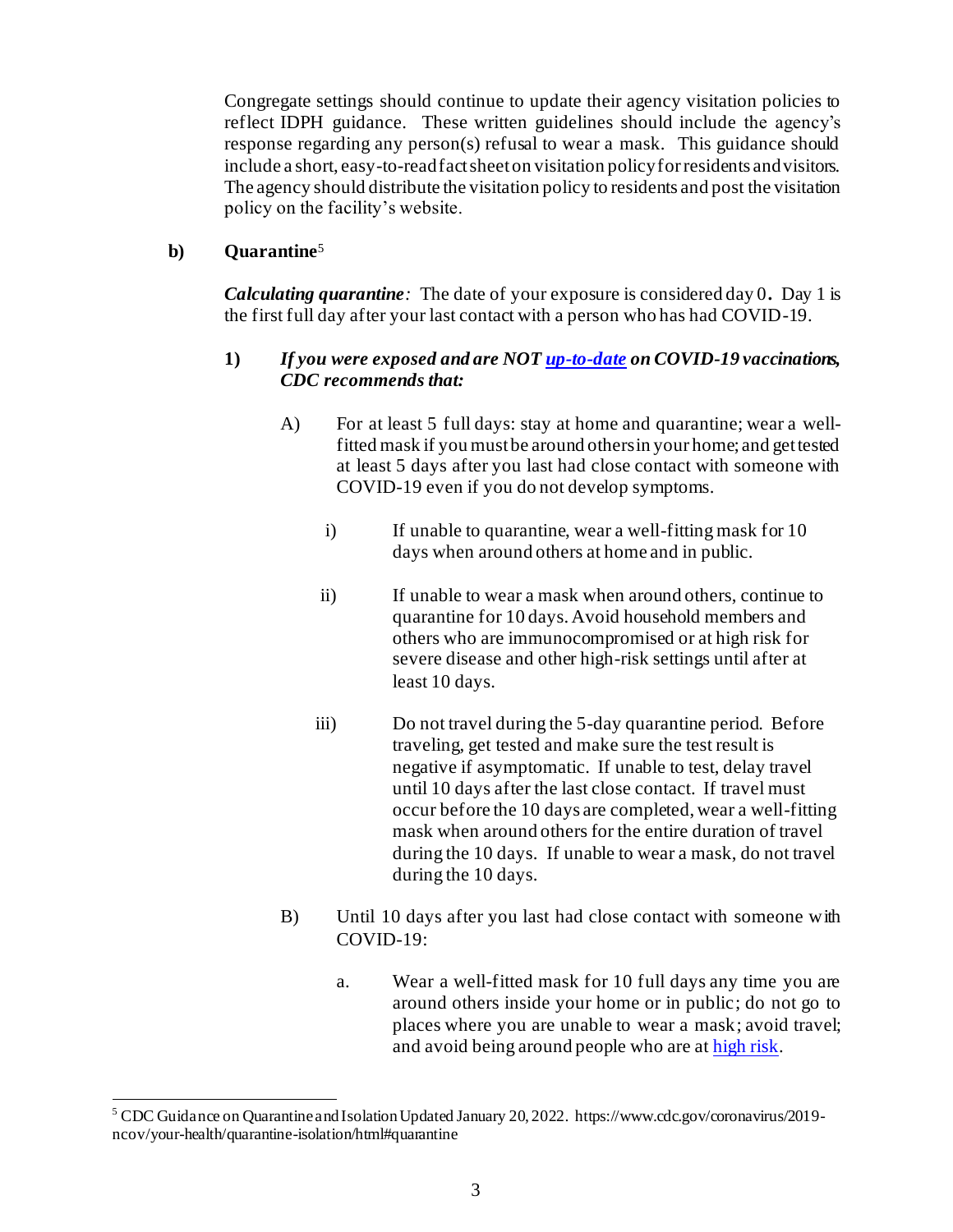Congregate settings should continue to update their agency visitation policies to reflect IDPH guidance. These written guidelines should include the agency's response regarding any person(s) refusal to wear a mask. This guidance should include a short, easy-to-read fact sheet on visitation policy for residents and visitors. The agency should distribute the visitation policy to residents and post the visitation policy on the facility's website.

# **b) Quarantine** 5

*Calculating quarantine:* The date of your exposure is considered day 0**.** Day 1 is the first full day after your last contact with a person who has had COVID-19.

# **1)** *If you were exposed and are NO[T up-to-date](mailto:https://www.cdc.gov/coronavirus/2019-ncov/vaccines/stay-up-to-date.html) on COVID-19 vaccinations, CDC recommends that:*

- A) For at least 5 full days: stay at home and quarantine; wear a wellfitted mask if you must be around others in your home; and get tested at least 5 days after you last had close contact with someone with COVID-19 even if you do not develop symptoms.
	- i) If unable to quarantine, wear a well-fitting mask for 10 days when around others at home and in public.
	- ii) If unable to wear a mask when around others, continue to quarantine for 10 days. Avoid household members and others who are immunocompromised or at high risk for severe disease and other high-risk settings until after at least 10 days.
	- iii) Do not travel during the 5-day quarantine period. Before traveling, get tested and make sure the test result is negative if asymptomatic. If unable to test, delay travel until 10 days after the last close contact. If travel must occur before the 10 days are completed, wear a well-fitting mask when around others for the entire duration of travel during the 10 days. If unable to wear a mask, do not travel during the 10 days.
- B) Until 10 days after you last had close contact with someone with COVID-19:
	- a. Wear a well-fitted mask for 10 full days any time you are around others inside your home or in public; do not go to places where you are unable to wear a mask; avoid travel; and avoid being around people who are a[t high risk.](mailto:https://www.cdc.gov/coronavirus/2019-ncov/need-extra-precautions/index.html)

<sup>5</sup> CDC Guidance on Quarantine and Isolation Updated January 20, 2022. https://www.cdc.gov/coronavirus/2019 ncov/your-health/quarantine-isolation/html#quarantine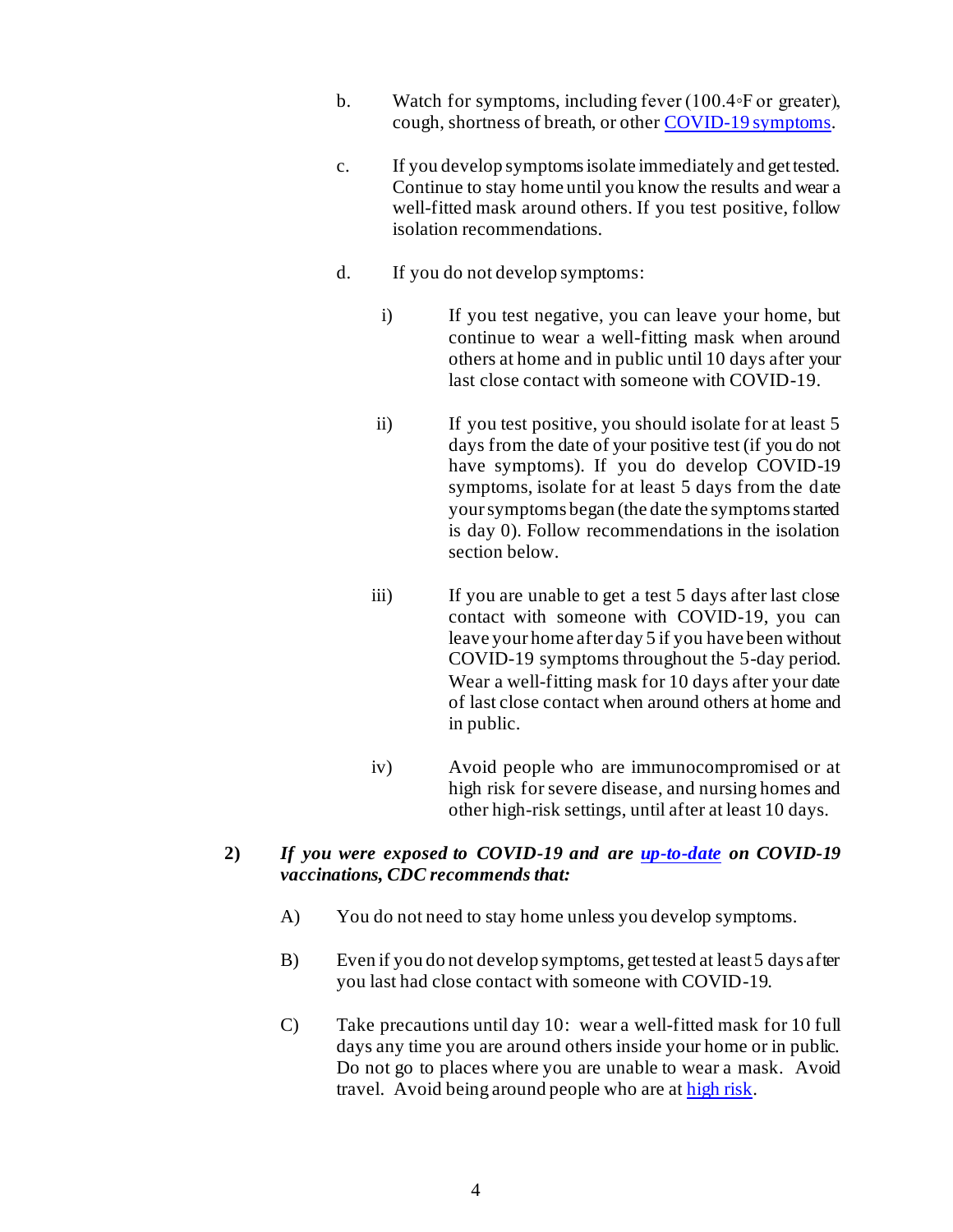- b. Watch for symptoms, including fever (100.4◦F or greater), cough, shortness of breath, or othe[r COVID-19 symptoms](mailto:https://www.cdc.gov/coronavirus/2019-ncov/symptoms-testing/symptoms.html).
- c. If you develop symptoms isolate immediately and get tested. Continue to stay home until you know the results and wear a well-fitted mask around others. If you test positive, follow isolation recommendations.
- d. If you do not develop symptoms:
	- i) If you test negative, you can leave your home, but continue to wear a well-fitting mask when around others at home and in public until 10 days after your last close contact with someone with COVID-19.
	- ii) If you test positive, you should isolate for at least 5 days from the date of your positive test (if you do not have symptoms). If you do develop COVID-19 symptoms, isolate for at least 5 days from the date your symptoms began (the date the symptoms started is day 0). Follow recommendations in the isolation section below.
	- iii) If you are unable to get a test 5 days after last close contact with someone with COVID-19, you can leave your home after day 5 if you have been without COVID-19 symptoms throughout the 5-day period. Wear a well-fitting mask for 10 days after your date of last close contact when around others at home and in public.
	- iv) Avoid people who are immunocompromised or at high risk for severe disease, and nursing homes and other high-risk settings, until after at least 10 days.

### **2)** *If you were exposed to COVID-19 and are [up-to-date](mailto:https://www.cdc.gov/coronavirus/2019-ncov/vaccines/stay-up-to-date.html) on COVID-19 vaccinations, CDC recommends that:*

- A) You do not need to stay home unless you develop symptoms.
- B) Even if you do not develop symptoms, get tested at least 5 days after you last had close contact with someone with COVID-19.
- C) Take precautions until day 10: wear a well-fitted mask for 10 full days any time you are around others inside your home or in public. Do not go to places where you are unable to wear a mask. Avoid travel. Avoid being around people who are a[t high risk.](mailto:https://www.cdc.gov/coronavirus/2019-ncov/need-extra-precautions/index.html)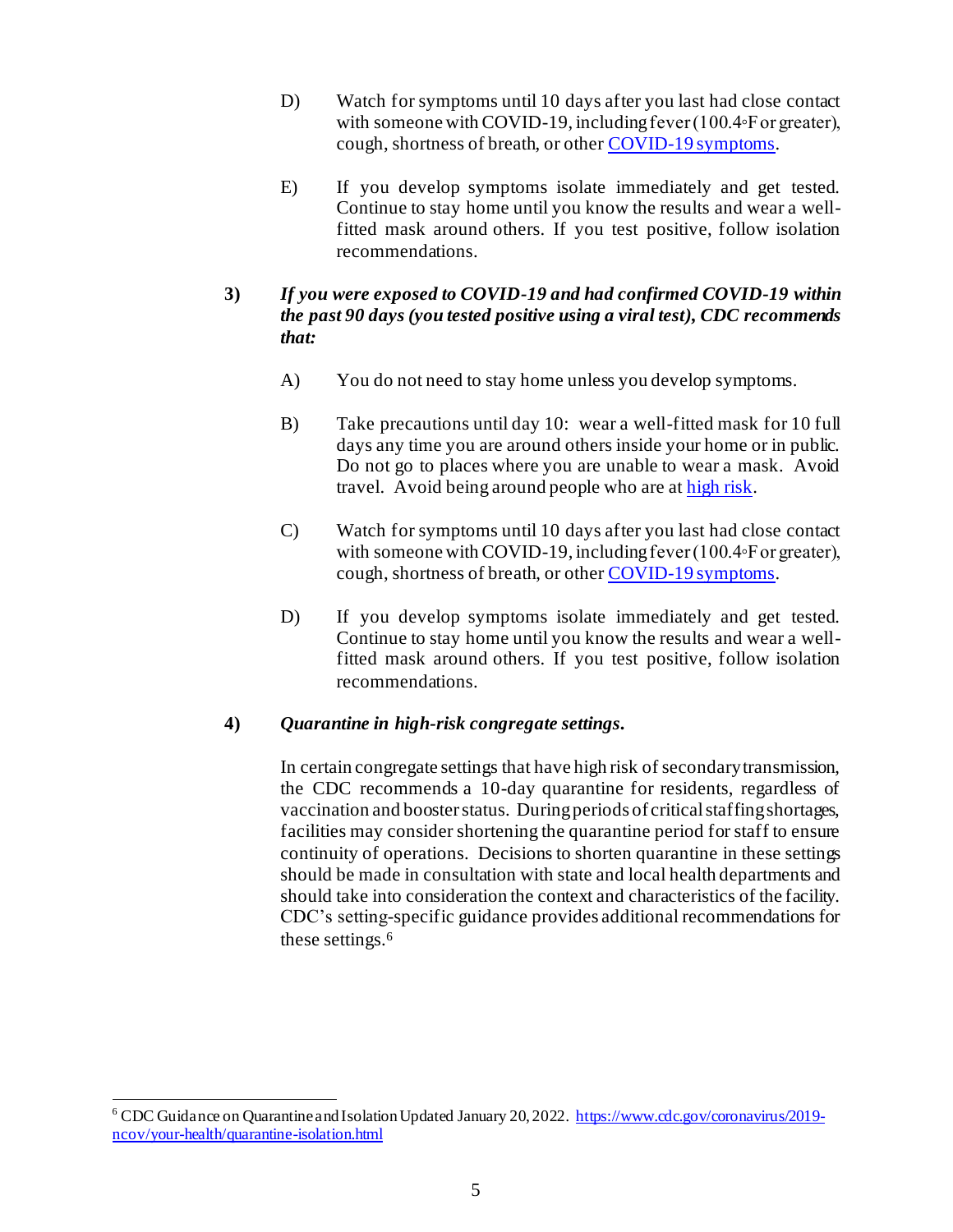- D) Watch for symptoms until 10 days after you last had close contact with someone with COVID-19, including fever (100.4◦F or greater), cough, shortness of breath, or othe[r COVID-19 symptoms](mailto:https://www.cdc.gov/coronavirus/2019-ncov/symptoms-testing/symptoms.html).
- E) If you develop symptoms isolate immediately and get tested. Continue to stay home until you know the results and wear a wellfitted mask around others. If you test positive, follow isolation recommendations.

# **3)** *If you were exposed to COVID-19 and had confirmed COVID-19 within the past 90 days (you tested positive using a viral test), CDC recommends that:*

- A) You do not need to stay home unless you develop symptoms.
- B) Take precautions until day 10: wear a well-fitted mask for 10 full days any time you are around others inside your home or in public. Do not go to places where you are unable to wear a mask. Avoid travel. Avoid being around people who are a[t high risk.](mailto:https://www.cdc.gov/coronavirus/2019-ncov/need-extra-precautions/index.html)
- C) Watch for symptoms until 10 days after you last had close contact with someone with COVID-19, including fever (100.4◦F or greater), cough, shortness of breath, or othe[r COVID-19 symptoms](mailto:https://www.cdc.gov/coronavirus/2019-ncov/symptoms-testing/symptoms.html).
- D) If you develop symptoms isolate immediately and get tested. Continue to stay home until you know the results and wear a wellfitted mask around others. If you test positive, follow isolation recommendations.

### **4)** *Quarantine in high-risk congregate settings.*

In certain congregate settings that have high risk of secondary transmission, the CDC recommends a 10-day quarantine for residents, regardless of vaccination and booster status. During periods of critical staffing shortages, facilities may consider shortening the quarantine period for staff to ensure continuity of operations. Decisions to shorten quarantine in these settings should be made in consultation with state and local health departments and should take into consideration the context and characteristics of the facility. CDC's setting-specific guidance provides additional recommendations for these settings.<sup>6</sup>

<sup>6</sup> CDC Guidance on Quarantine and Isolation Updated January 20, 2022[. https://www.cdc.gov/coronavirus/2019](https://www.cdc.gov/coronavirus/2019-ncov/your-health/quarantine-isolation.html) [ncov/your-health/quarantine-isolation.html](https://www.cdc.gov/coronavirus/2019-ncov/your-health/quarantine-isolation.html)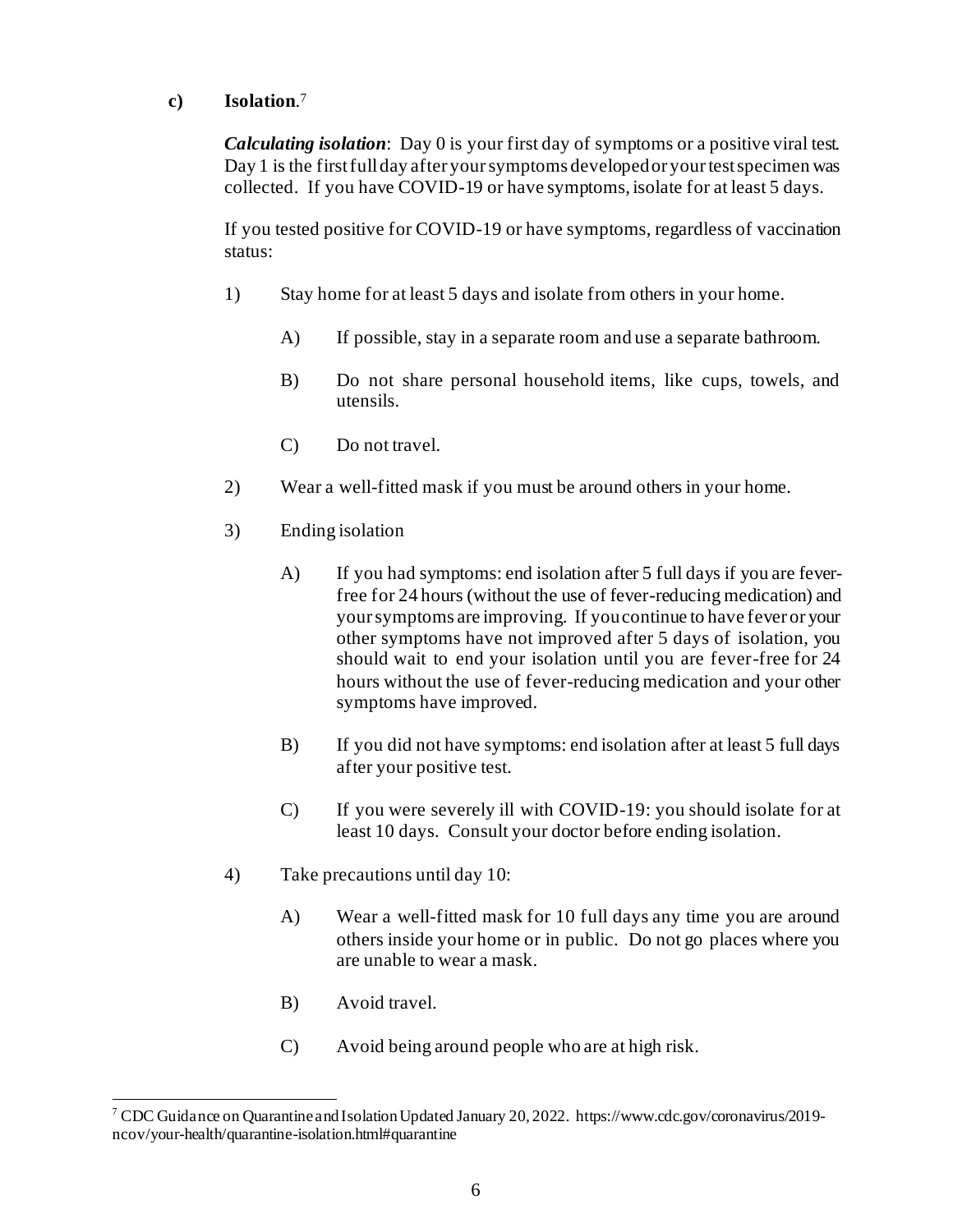# **c) Isolation**. 7

*Calculating isolation*: Day 0 is your first day of symptoms or a positive viral test. Day 1 is the first full day after your symptoms developed or your test specimen was collected. If you have COVID-19 or have symptoms, isolate for at least 5 days.

If you tested positive for COVID-19 or have symptoms, regardless of vaccination status:

- 1) Stay home for at least 5 days and isolate from others in your home.
	- A) If possible, stay in a separate room and use a separate bathroom.
	- B) Do not share personal household items, like cups, towels, and utensils.
	- C) Do not travel.
- 2) Wear a well-fitted mask if you must be around others in your home.
- 3) Ending isolation
	- A) If you had symptoms: end isolation after 5 full days if you are feverfree for 24 hours (without the use of fever-reducing medication) and your symptoms are improving. If you continue to have fever or your other symptoms have not improved after 5 days of isolation, you should wait to end your isolation until you are fever-free for 24 hours without the use of fever-reducing medication and your other symptoms have improved.
	- B) If you did not have symptoms: end isolation after at least 5 full days after your positive test.
	- C) If you were severely ill with COVID-19: you should isolate for at least 10 days. Consult your doctor before ending isolation.
- 4) Take precautions until day 10:
	- A) Wear a well-fitted mask for 10 full days any time you are around others inside your home or in public. Do not go places where you are unable to wear a mask.
	- B) Avoid travel.
	- C) Avoid being around people who are at high risk.

<sup>7</sup> CDC Guidance on Quarantine and Isolation Updated January 20, 2022. https://www.cdc.gov/coronavirus/2019 ncov/your-health/quarantine-isolation.html#quarantine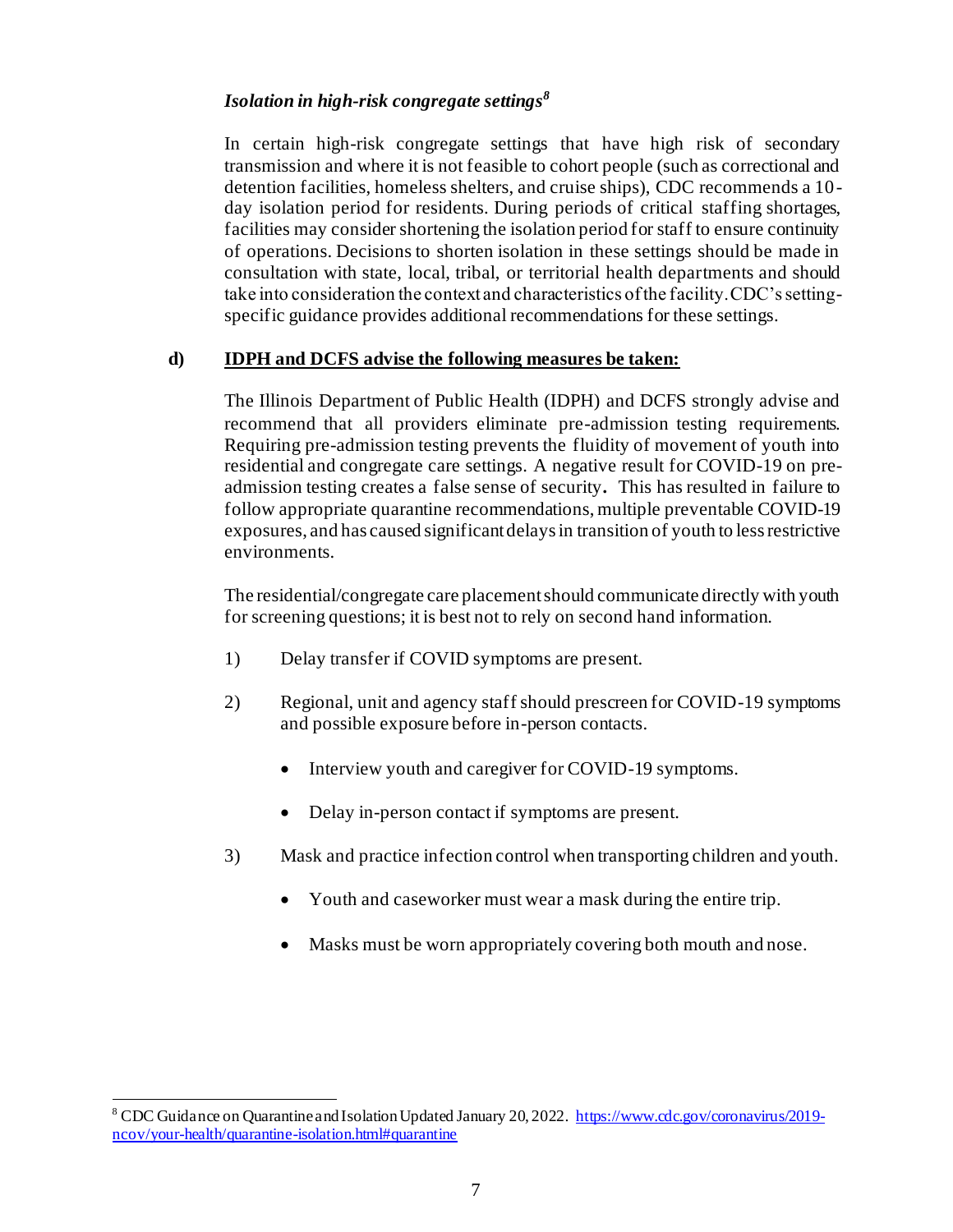### *Isolation in high-risk congregate settings<sup>8</sup>*

In certain high-risk congregate settings that have high risk of secondary transmission and where it is not feasible to cohort people (such as correctional and detention facilities, homeless shelters, and cruise ships), CDC recommends a 10 day isolation period for residents. During periods of critical staffing shortages, facilities may consider shortening the isolation period for staff to ensure continuity of operations. Decisions to shorten isolation in these settings should be made in consultation with state, local, tribal, or territorial health departments and should take into consideration the context and characteristics of the facility. CDC's settingspecific guidance provides additional recommendations for these settings.

### **d) IDPH and DCFS advise the following measures be taken:**

The Illinois Department of Public Health (IDPH) and DCFS strongly advise and recommend that all providers eliminate pre-admission testing requirements. Requiring pre-admission testing prevents the fluidity of movement of youth into residential and congregate care settings. A negative result for COVID-19 on preadmission testing creates a false sense of security*.* This has resulted in failure to follow appropriate quarantine recommendations, multiple preventable COVID-19 exposures, and has caused significant delays in transition of youth to less restrictive environments.

The residential/congregate care placement should communicate directly with youth for screening questions; it is best not to rely on second hand information.

- 1) Delay transfer if COVID symptoms are present.
- 2) Regional, unit and agency staff should prescreen for COVID-19 symptoms and possible exposure before in-person contacts.
	- Interview youth and caregiver for COVID-19 symptoms.
	- Delay in-person contact if symptoms are present.
- 3) Mask and practice infection control when transporting children and youth.
	- Youth and caseworker must wear a mask during the entire trip.
	- Masks must be worn appropriately covering both mouth and nose.

<sup>8</sup> CDC Guidance on Quarantine and Isolation Updated January 20, 2022. [https://www.cdc.gov/coronavirus/2019](https://www.cdc.gov/coronavirus/2019-ncov/your-health/quarantine-isolation.html#quarantine) [ncov/your-health/quarantine-isolation.html#quarantine](https://www.cdc.gov/coronavirus/2019-ncov/your-health/quarantine-isolation.html#quarantine)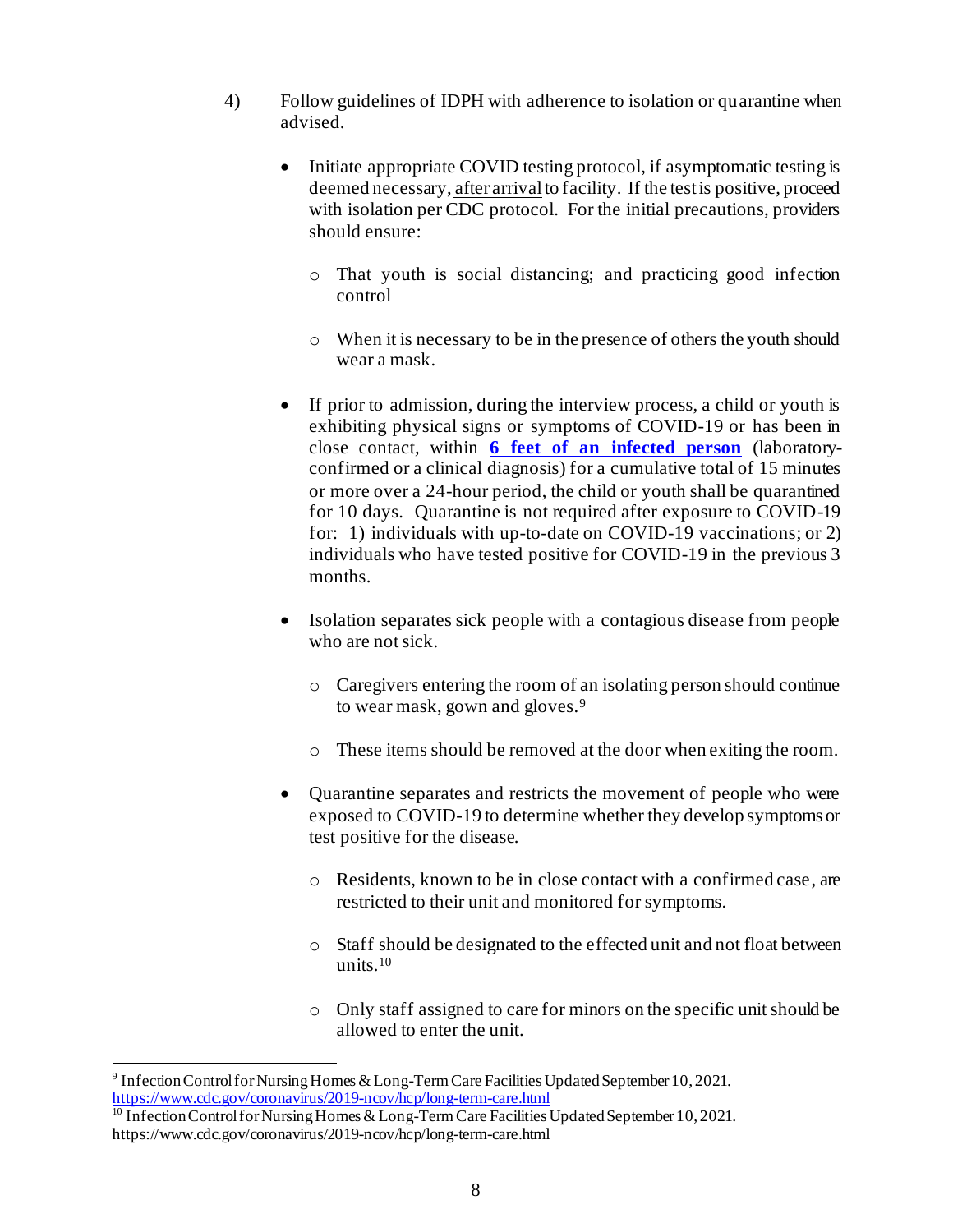- 4) Follow guidelines of IDPH with adherence to isolation or quarantine when advised.
	- Initiate appropriate COVID testing protocol, if asymptomatic testing is deemed necessary, after arrival to facility. If the test is positive, proceed with isolation per CDC protocol. For the initial precautions, providers should ensure:
		- o That youth is social distancing; and practicing good infection control
		- o When it is necessary to be in the presence of others the youth should wear a mask.
	- If prior to admission, during the interview process, a child or youth is exhibiting physical signs or symptoms of COVID-19 or has been in close contact*,* within **[6 feet of an infected person](https://www.cdc.gov/coronavirus/2019-ncov/prevent-getting-sick/social-distancing.html)** (laboratoryconfirmed or a clinical diagnosis) for a cumulative total of 15 minutes or more over a 24-hour period, the child or youth shall be quarantined for 10 days. Quarantine is not required after exposure to COVID-19 for: 1) individuals with up-to-date on COVID-19 vaccinations; or 2) individuals who have tested positive for COVID-19 in the previous 3 months.
	- Isolation separates sick people with a contagious disease from people who are not sick.
		- o Caregivers entering the room of an isolating person should continue to wear mask, gown and gloves.<sup>9</sup>
		- o These items should be removed at the door when exiting the room.
	- Quarantine separates and restricts the movement of people who were exposed to COVID-19 to determine whether they develop symptoms or test positive for the disease.
		- o Residents, known to be in close contact with a confirmed case, are restricted to their unit and monitored for symptoms.
		- o Staff should be designated to the effected unit and not float between units.<sup>10</sup>
		- o Only staff assigned to care for minors on the specific unit should be allowed to enter the unit.

<sup>&</sup>lt;sup>9</sup> Infection Control for Nursing Homes & Long-Term Care Facilities Updated September 10, 2021. <https://www.cdc.gov/coronavirus/2019-ncov/hcp/long-term-care.html>

 $^{10}$  Infection Control for Nursing Homes & Long-Term Care Facilities Updated September 10, 2021. https://www.cdc.gov/coronavirus/2019-ncov/hcp/long-term-care.html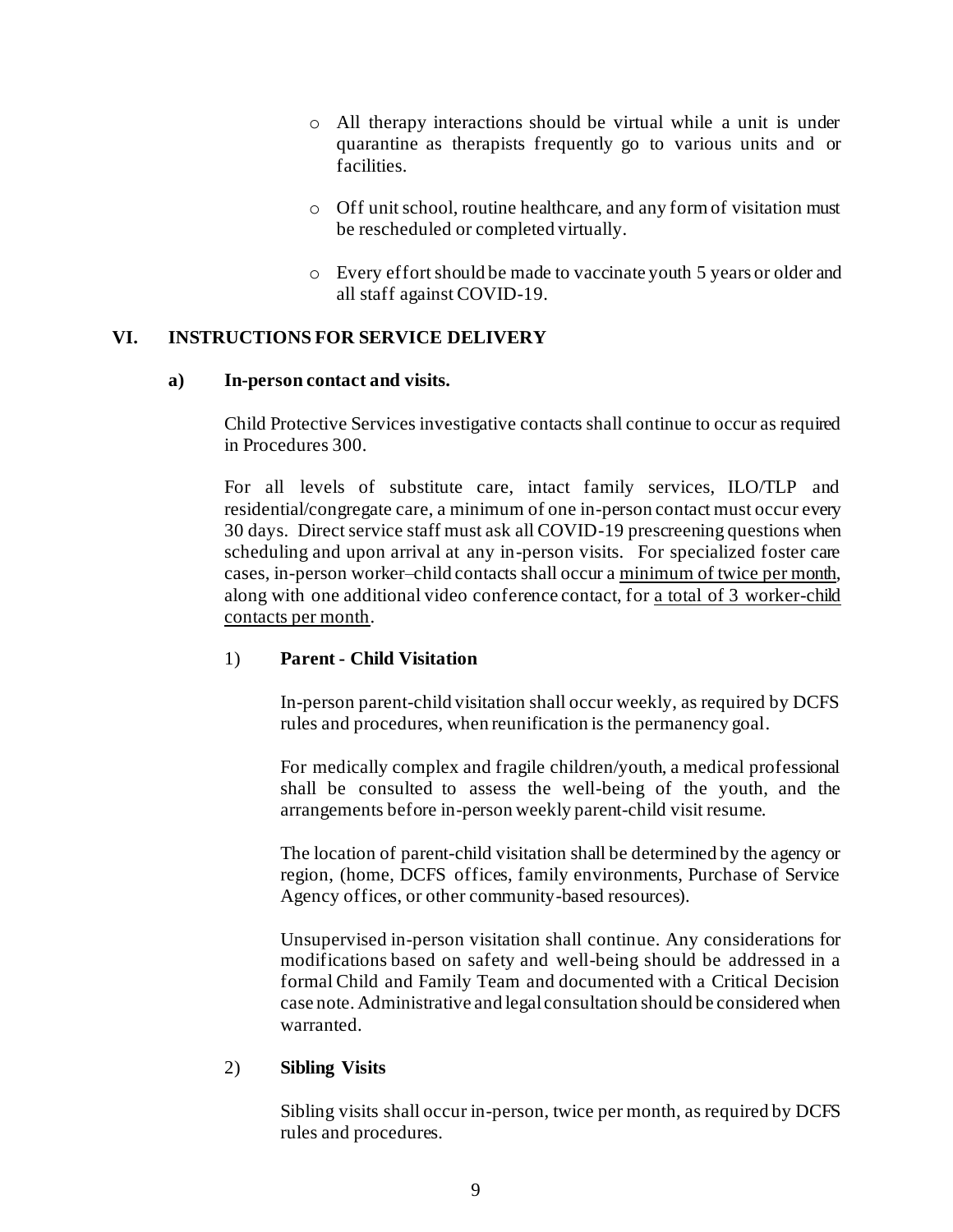- o All therapy interactions should be virtual while a unit is under quarantine as therapists frequently go to various units and or facilities.
- o Off unit school, routine healthcare, and any form of visitation must be rescheduled or completed virtually.
- o Every effort should be made to vaccinate youth 5 years or older and all staff against COVID-19.

### **VI. INSTRUCTIONS FOR SERVICE DELIVERY**

#### **a) In-person contact and visits.**

Child Protective Services investigative contacts shall continue to occur as required in Procedures 300.

For all levels of substitute care, intact family services, ILO/TLP and residential/congregate care, a minimum of one in-person contact must occur every 30 days. Direct service staff must ask all COVID-19 prescreening questions when scheduling and upon arrival at any in-person visits. For specialized foster care cases, in-person worker–child contacts shall occur a minimum of twice per month, along with one additional video conference contact, for a total of 3 worker-child contacts per month.

### 1) **Parent - Child Visitation**

In-person parent-child visitation shall occur weekly, as required by DCFS rules and procedures, when reunification is the permanency goal.

For medically complex and fragile children/youth, a medical professional shall be consulted to assess the well-being of the youth, and the arrangements before in-person weekly parent-child visit resume.

The location of parent-child visitation shall be determined by the agency or region, (home, DCFS offices, family environments, Purchase of Service Agency offices, or other community-based resources).

Unsupervised in-person visitation shall continue. Any considerations for modifications based on safety and well-being should be addressed in a formal Child and Family Team and documented with a Critical Decision case note. Administrative and legal consultation should be considered when warranted.

### 2) **Sibling Visits**

Sibling visits shall occur in-person, twice per month, as required by DCFS rules and procedures.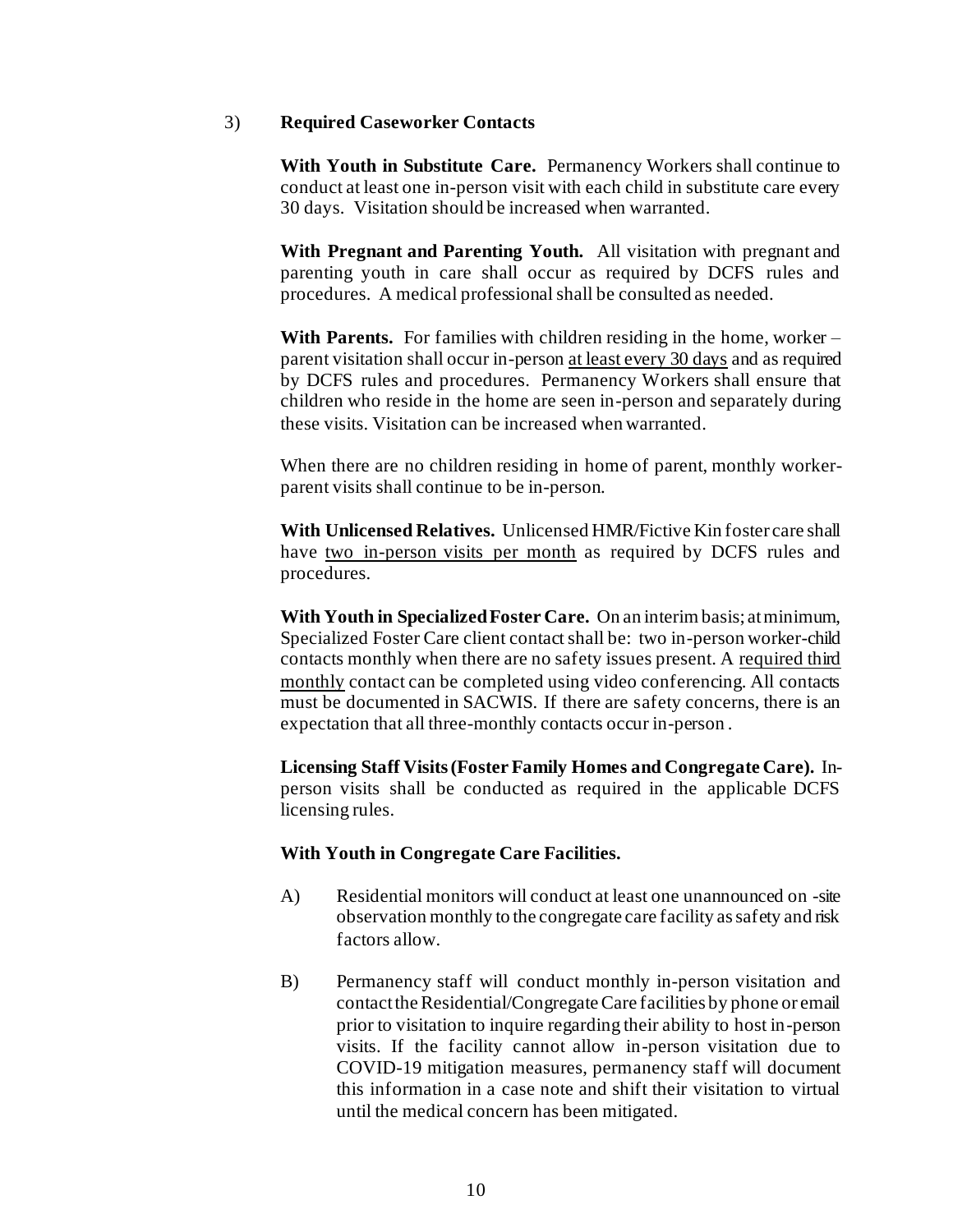#### 3) **Required Caseworker Contacts**

**With Youth in Substitute Care.** Permanency Workers shall continue to conduct at least one in-person visit with each child in substitute care every 30 days. Visitation should be increased when warranted.

**With Pregnant and Parenting Youth.** All visitation with pregnant and parenting youth in care shall occur as required by DCFS rules and procedures. A medical professional shall be consulted as needed.

**With Parents.** For families with children residing in the home, worker – parent visitation shall occur in-person at least every 30 days and as required by DCFS rules and procedures. Permanency Workers shall ensure that children who reside in the home are seen in-person and separately during these visits. Visitation can be increased when warranted.

When there are no children residing in home of parent, monthly workerparent visits shall continue to be in-person.

**With Unlicensed Relatives.** Unlicensed HMR/Fictive Kin foster care shall have two in-person visits per month as required by DCFS rules and procedures.

**With Youth in Specialized Foster Care.** On an interim basis; at minimum, Specialized Foster Care client contact shall be: two in-person worker-child contacts monthly when there are no safety issues present. A required third monthly contact can be completed using video conferencing. All contacts must be documented in SACWIS. If there are safety concerns, there is an expectation that all three-monthly contacts occur in-person .

**Licensing Staff Visits (Foster Family Homes and Congregate Care).** Inperson visits shall be conducted as required in the applicable DCFS licensing rules.

#### **With Youth in Congregate Care Facilities.**

- A) Residential monitors will conduct at least one unannounced on -site observation monthly to the congregate care facility as safety and risk factors allow.
- B) Permanency staff will conduct monthly in-person visitation and contact the Residential/Congregate Care facilities by phone or email prior to visitation to inquire regarding their ability to host in-person visits. If the facility cannot allow in-person visitation due to COVID-19 mitigation measures, permanency staff will document this information in a case note and shift their visitation to virtual until the medical concern has been mitigated.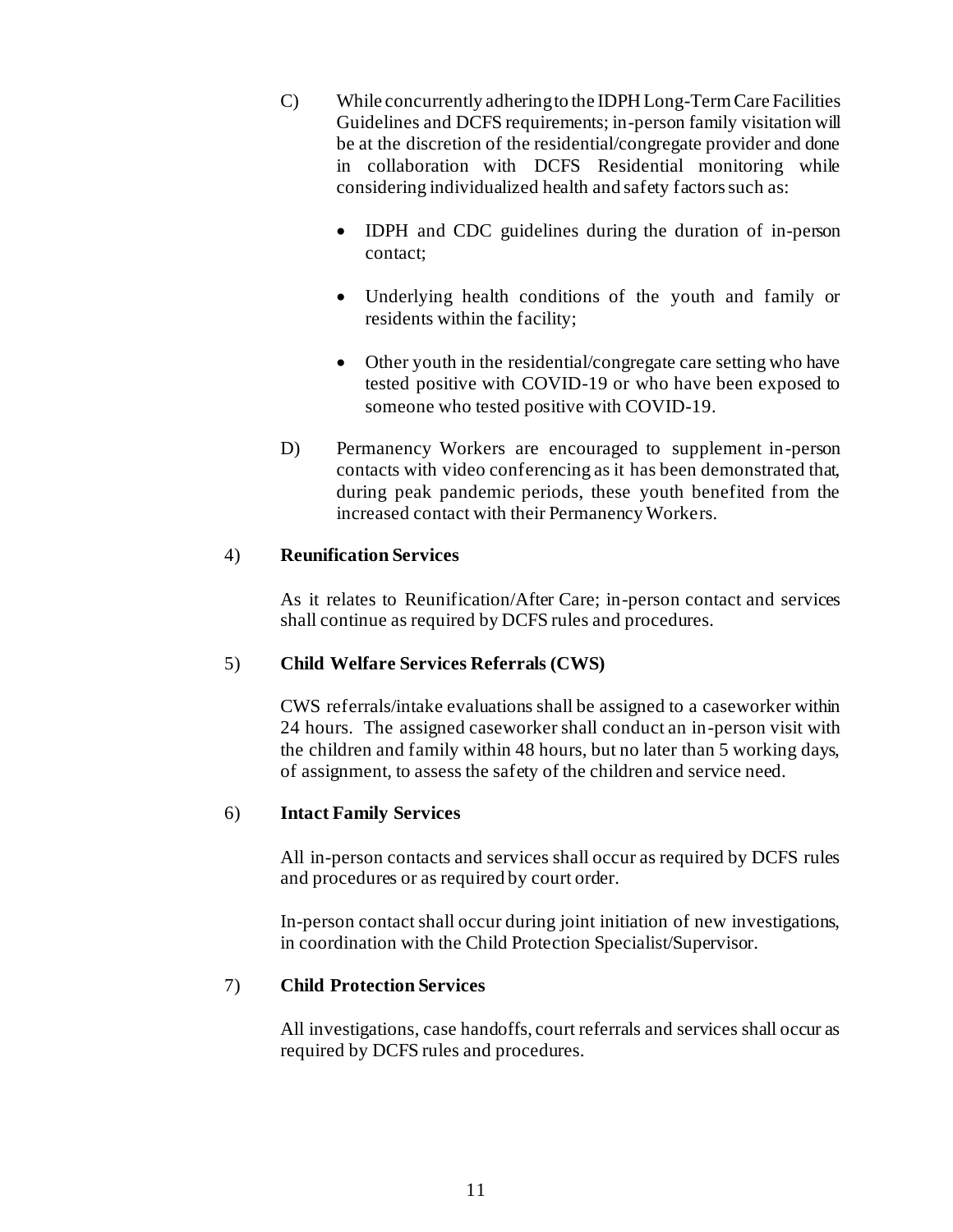- C) While concurrently adhering to the IDPH Long-Term Care Facilities Guidelines and DCFS requirements; in-person family visitation will be at the discretion of the residential/congregate provider and done in collaboration with DCFS Residential monitoring while considering individualized health and safety factors such as:
	- IDPH and CDC guidelines during the duration of in-person contact;
	- Underlying health conditions of the youth and family or residents within the facility;
	- Other youth in the residential/congregate care setting who have tested positive with COVID-19 or who have been exposed to someone who tested positive with COVID-19.
- D) Permanency Workers are encouraged to supplement in-person contacts with video conferencing as it has been demonstrated that, during peak pandemic periods, these youth benefited from the increased contact with their Permanency Workers.

### 4) **Reunification Services**

As it relates to Reunification/After Care; in-person contact and services shall continue as required by DCFS rules and procedures.

# 5) **Child Welfare Services Referrals (CWS)**

CWS referrals/intake evaluations shall be assigned to a caseworker within 24 hours. The assigned caseworker shall conduct an in-person visit with the children and family within 48 hours, but no later than 5 working days, of assignment, to assess the safety of the children and service need.

### 6) **Intact Family Services**

All in-person contacts and services shall occur as required by DCFS rules and procedures or as required by court order.

In-person contact shall occur during joint initiation of new investigations, in coordination with the Child Protection Specialist/Supervisor.

### 7) **Child Protection Services**

All investigations, case handoffs, court referrals and services shall occur as required by DCFS rules and procedures.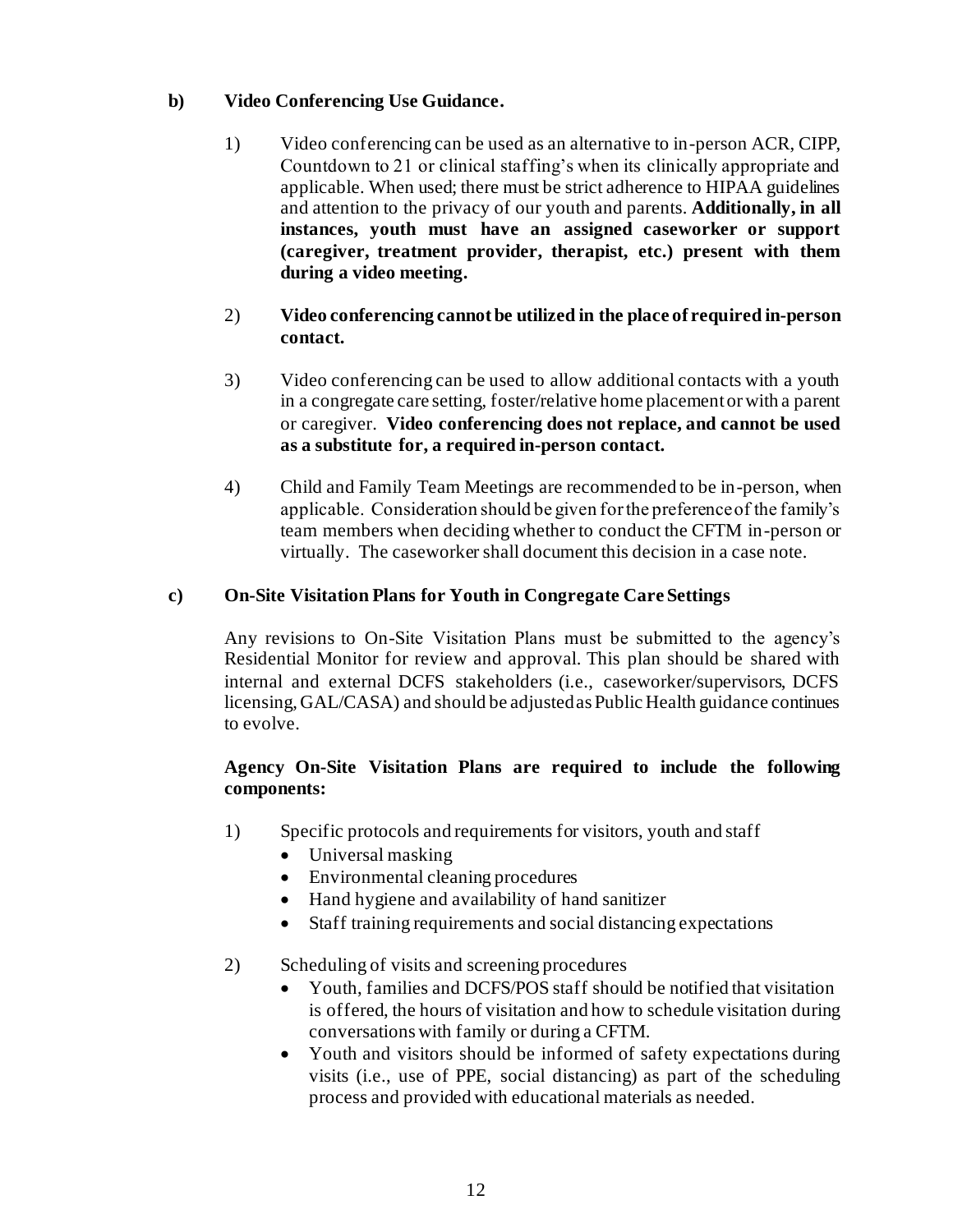# **b) Video Conferencing Use Guidance.**

- 1) Video conferencing can be used as an alternative to in-person ACR, CIPP, Countdown to 21 or clinical staffing's when its clinically appropriate and applicable. When used; there must be strict adherence to HIPAA guidelines and attention to the privacy of our youth and parents. **Additionally, in all instances, youth must have an assigned caseworker or support (caregiver, treatment provider, therapist, etc.) present with them during a video meeting.**
- 2) **Video conferencing cannot be utilized in the place of required in-person contact.**
- 3) Video conferencing can be used to allow additional contacts with a youth in a congregate care setting, foster/relative home placement or with a parent or caregiver. **Video conferencing does not replace, and cannot be used as a substitute for, a required in-person contact.**
- 4) Child and Family Team Meetings are recommended to be in-person, when applicable. Consideration should be given for the preference of the family's team members when deciding whether to conduct the CFTM in-person or virtually. The caseworker shall document this decision in a case note.

# **c) On-Site Visitation Plans for Youth in Congregate Care Settings**

Any revisions to On-Site Visitation Plans must be submitted to the agency's Residential Monitor for review and approval. This plan should be shared with internal and external DCFS stakeholders (i.e., caseworker/supervisors, DCFS licensing, GAL/CASA) and should be adjusted as Public Health guidance continues to evolve.

# **Agency On-Site Visitation Plans are required to include the following components:**

- 1) Specific protocols and requirements for visitors, youth and staff
	- Universal masking
	- Environmental cleaning procedures
	- Hand hygiene and availability of hand sanitizer
	- Staff training requirements and social distancing expectations
- 2) Scheduling of visits and screening procedures
	- Youth, families and DCFS/POS staff should be notified that visitation is offered, the hours of visitation and how to schedule visitation during conversations with family or during a CFTM.
	- Youth and visitors should be informed of safety expectations during visits (i.e., use of PPE, social distancing) as part of the scheduling process and provided with educational materials as needed.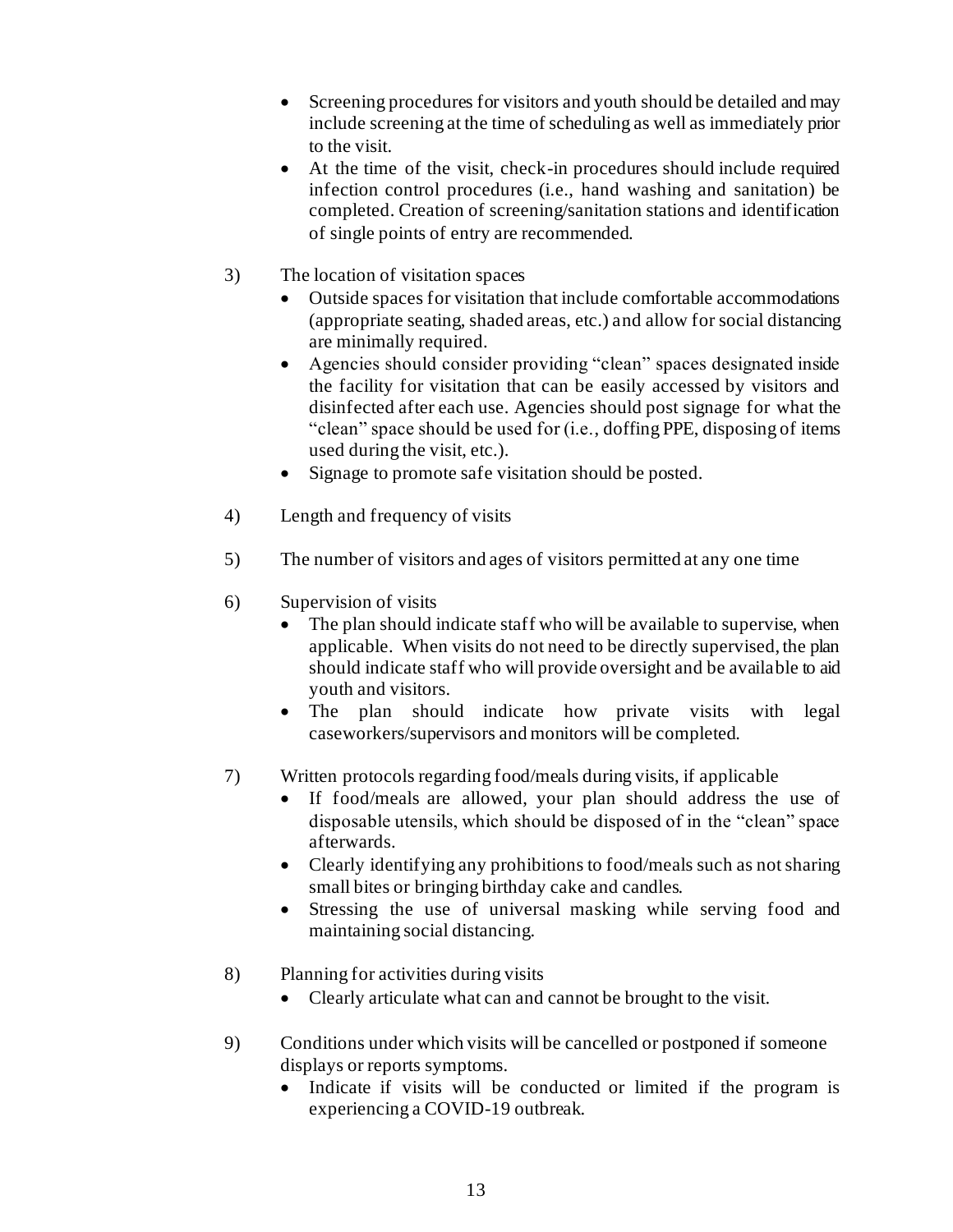- Screening procedures for visitors and youth should be detailed and may include screening at the time of scheduling as well as immediately prior to the visit.
- At the time of the visit, check-in procedures should include required infection control procedures (i.e., hand washing and sanitation) be completed. Creation of screening/sanitation stations and identification of single points of entry are recommended.
- 3) The location of visitation spaces
	- Outside spaces for visitation that include comfortable accommodations (appropriate seating, shaded areas, etc.) and allow for social distancing are minimally required.
	- Agencies should consider providing "clean" spaces designated inside the facility for visitation that can be easily accessed by visitors and disinfected after each use. Agencies should post signage for what the "clean" space should be used for (i.e., doffing PPE, disposing of items used during the visit, etc.).
	- Signage to promote safe visitation should be posted.
- 4) Length and frequency of visits
- 5) The number of visitors and ages of visitors permitted at any one time
- 6) Supervision of visits
	- The plan should indicate staff who will be available to supervise, when applicable. When visits do not need to be directly supervised, the plan should indicate staff who will provide oversight and be available to aid youth and visitors.
	- The plan should indicate how private visits with legal caseworkers/supervisors and monitors will be completed.
- 7) Written protocols regarding food/meals during visits, if applicable
	- If food/meals are allowed, your plan should address the use of disposable utensils, which should be disposed of in the "clean" space afterwards.
	- Clearly identifying any prohibitions to food/meals such as not sharing small bites or bringing birthday cake and candles.
	- Stressing the use of universal masking while serving food and maintaining social distancing.
- 8) Planning for activities during visits
	- Clearly articulate what can and cannot be brought to the visit.
- 9) Conditions under which visits will be cancelled or postponed if someone displays or reports symptoms.
	- Indicate if visits will be conducted or limited if the program is experiencing a COVID-19 outbreak.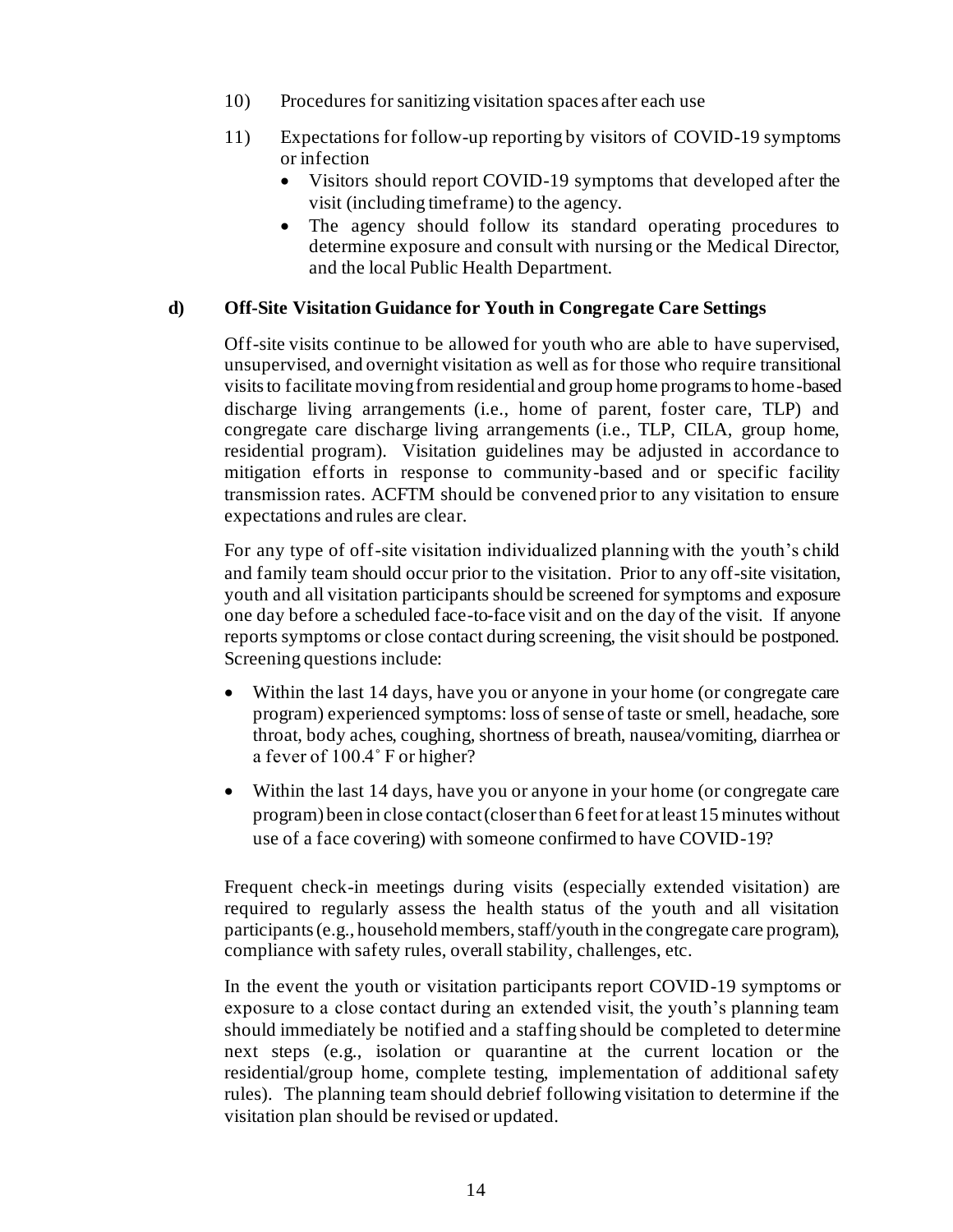- 10) Procedures for sanitizing visitation spaces after each use
- 11) Expectations for follow-up reporting by visitors of COVID-19 symptoms or infection
	- Visitors should report COVID-19 symptoms that developed after the visit (including timeframe) to the agency.
	- The agency should follow its standard operating procedures to determine exposure and consult with nursing or the Medical Director, and the local Public Health Department.

### **d) Off-Site Visitation Guidance for Youth in Congregate Care Settings**

Off-site visits continue to be allowed for youth who are able to have supervised, unsupervised, and overnight visitation as well as for those who require transitional visits to facilitate moving from residential and group home programs to home-based discharge living arrangements (i.e., home of parent, foster care, TLP) and congregate care discharge living arrangements (i.e., TLP, CILA, group home, residential program). Visitation guidelines may be adjusted in accordance to mitigation efforts in response to community-based and or specific facility transmission rates. ACFTM should be convened prior to any visitation to ensure expectations and rules are clear.

For any type of off-site visitation individualized planning with the youth's child and family team should occur prior to the visitation. Prior to any off-site visitation, youth and all visitation participants should be screened for symptoms and exposure one day before a scheduled face-to-face visit and on the day of the visit. If anyone reports symptoms or close contact during screening, the visit should be postponed. Screening questions include:

- Within the last 14 days, have you or anyone in your home (or congregate care program) experienced symptoms: loss of sense of taste or smell, headache, sore throat, body aches, coughing, shortness of breath, nausea/vomiting, diarrhea or a fever of 100.4˚ F or higher?
- Within the last 14 days, have you or anyone in your home (or congregate care program) been in close contact (closer than 6 feet for at least 15 minutes without use of a face covering) with someone confirmed to have COVID-19?

Frequent check-in meetings during visits (especially extended visitation) are required to regularly assess the health status of the youth and all visitation participants (e.g., household members, staff/youth in the congregate care program), compliance with safety rules, overall stability, challenges, etc.

In the event the youth or visitation participants report COVID-19 symptoms or exposure to a close contact during an extended visit, the youth's planning team should immediately be notified and a staffing should be completed to determine next steps (e.g., isolation or quarantine at the current location or the residential/group home, complete testing, implementation of additional safety rules). The planning team should debrief following visitation to determine if the visitation plan should be revised or updated.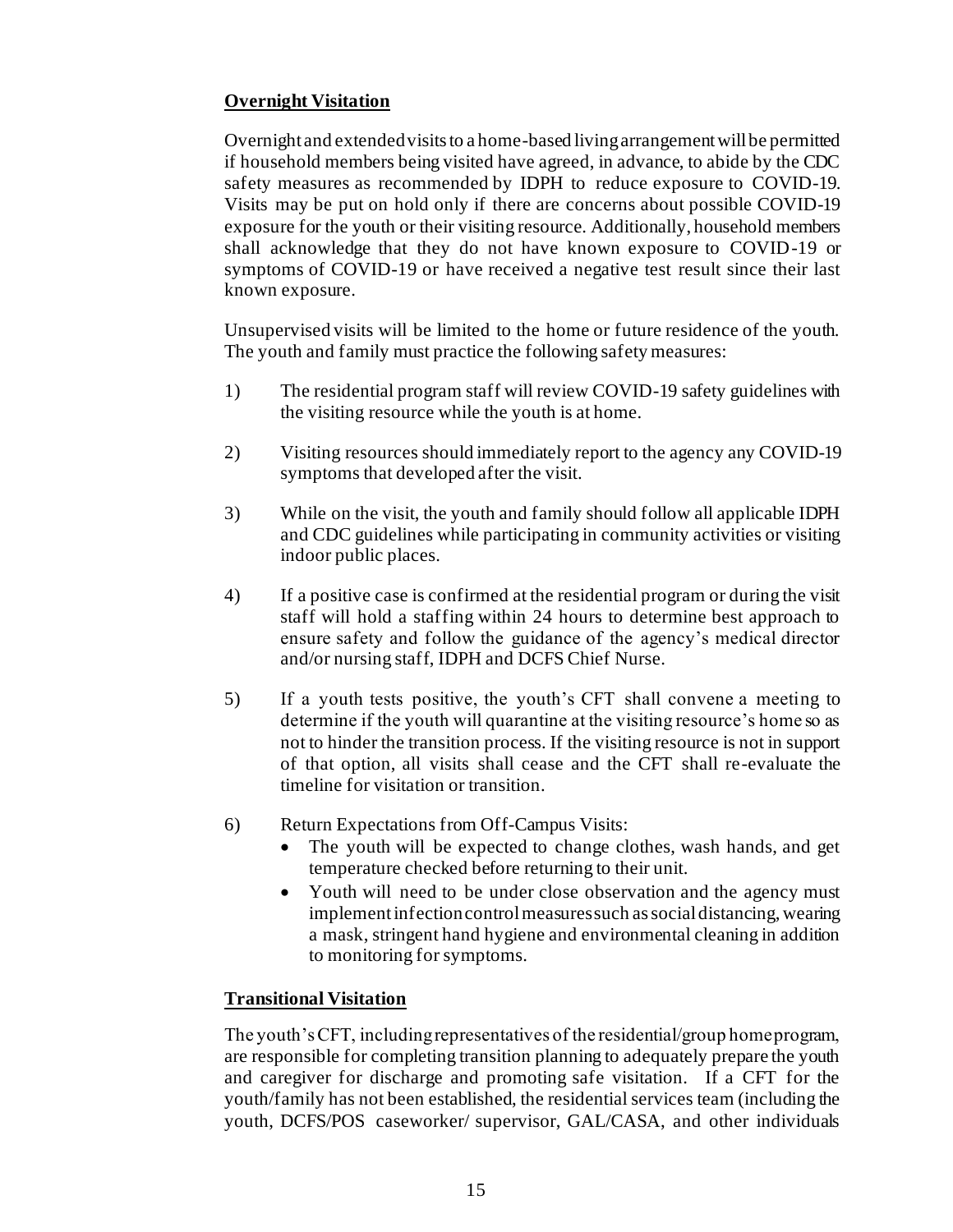# **Overnight Visitation**

Overnight and extended visits to a home-based living arrangement will be permitted if household members being visited have agreed, in advance, to abide by the CDC safety measures as recommended by IDPH to reduce exposure to COVID-19. Visits may be put on hold only if there are concerns about possible COVID-19 exposure for the youth or their visiting resource. Additionally, household members shall acknowledge that they do not have known exposure to COVID-19 or symptoms of COVID-19 or have received a negative test result since their last known exposure.

Unsupervised visits will be limited to the home or future residence of the youth. The youth and family must practice the following safety measures:

- 1) The residential program staff will review COVID-19 safety guidelines with the visiting resource while the youth is at home.
- 2) Visiting resources should immediately report to the agency any COVID-19 symptoms that developed after the visit.
- 3) While on the visit, the youth and family should follow all applicable IDPH and CDC guidelines while participating in community activities or visiting indoor public places.
- 4) If a positive case is confirmed at the residential program or during the visit staff will hold a staffing within 24 hours to determine best approach to ensure safety and follow the guidance of the agency's medical director and/or nursing staff, IDPH and DCFS Chief Nurse.
- 5) If a youth tests positive, the youth's CFT shall convene a meeting to determine if the youth will quarantine at the visiting resource's home so as not to hinder the transition process. If the visiting resource is not in support of that option, all visits shall cease and the CFT shall re-evaluate the timeline for visitation or transition.
- 6) Return Expectations from Off-Campus Visits:
	- The youth will be expected to change clothes, wash hands, and get temperature checked before returning to their unit.
	- Youth will need to be under close observation and the agency must implement infection control measures such as social distancing, wearing a mask, stringent hand hygiene and environmental cleaning in addition to monitoring for symptoms.

# **Transitional Visitation**

The youth's CFT, including representatives of the residential/group home program, are responsible for completing transition planning to adequately prepare the youth and caregiver for discharge and promoting safe visitation. If a CFT for the youth/family has not been established, the residential services team (including the youth, DCFS/POS caseworker/ supervisor, GAL/CASA, and other individuals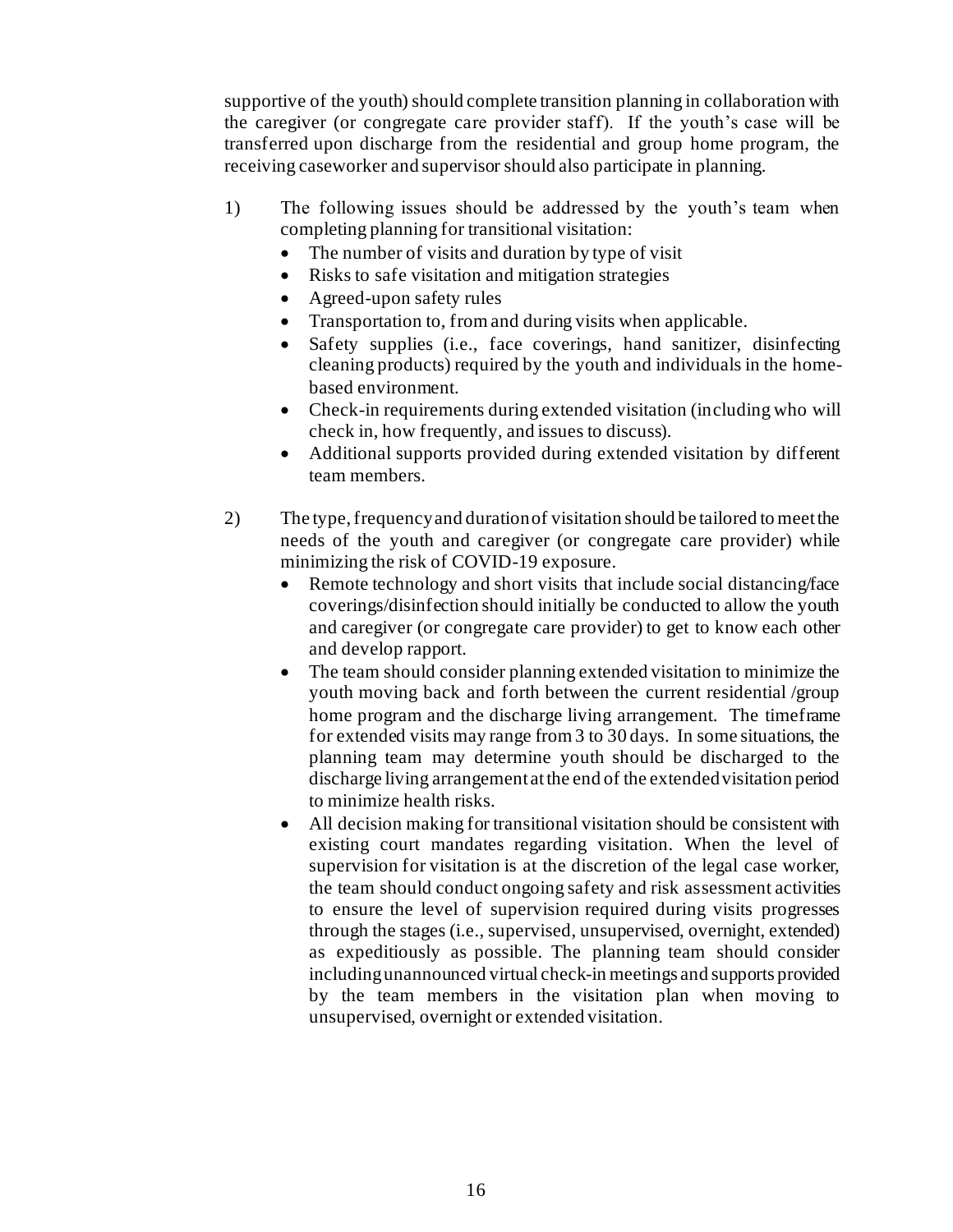supportive of the youth) should complete transition planning in collaboration with the caregiver (or congregate care provider staff). If the youth's case will be transferred upon discharge from the residential and group home program, the receiving caseworker and supervisor should also participate in planning.

- 1) The following issues should be addressed by the youth's team when completing planning for transitional visitation:
	- The number of visits and duration by type of visit
	- Risks to safe visitation and mitigation strategies
	- Agreed-upon safety rules
	- Transportation to, from and during visits when applicable.
	- Safety supplies (i.e., face coverings, hand sanitizer, disinfecting cleaning products) required by the youth and individuals in the homebased environment.
	- Check-in requirements during extended visitation (including who will check in, how frequently, and issues to discuss).
	- Additional supports provided during extended visitation by different team members.
- 2) The type, frequency and duration of visitation should be tailored to meet the needs of the youth and caregiver (or congregate care provider) while minimizing the risk of COVID-19 exposure.
	- Remote technology and short visits that include social distancing/face coverings/disinfection should initially be conducted to allow the youth and caregiver (or congregate care provider) to get to know each other and develop rapport.
	- The team should consider planning extended visitation to minimize the youth moving back and forth between the current residential /group home program and the discharge living arrangement. The timeframe for extended visits may range from 3 to 30 days. In some situations, the planning team may determine youth should be discharged to the discharge living arrangement at the end of the extended visitation period to minimize health risks.
	- All decision making for transitional visitation should be consistent with existing court mandates regarding visitation. When the level of supervision for visitation is at the discretion of the legal case worker, the team should conduct ongoing safety and risk assessment activities to ensure the level of supervision required during visits progresses through the stages (i.e., supervised, unsupervised, overnight, extended) as expeditiously as possible. The planning team should consider including unannounced virtual check-in meetings and supports provided by the team members in the visitation plan when moving to unsupervised, overnight or extended visitation.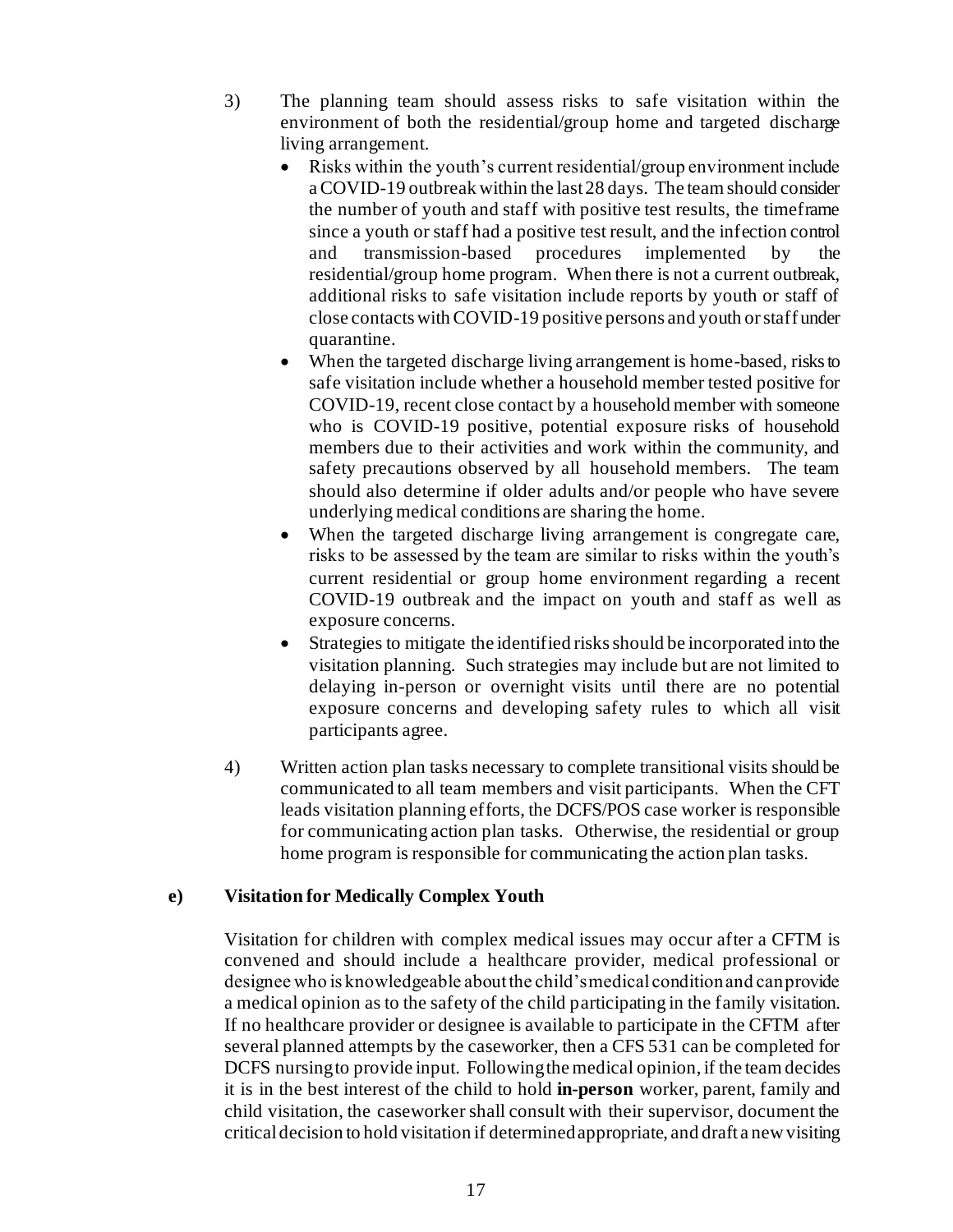- 3) The planning team should assess risks to safe visitation within the environment of both the residential/group home and targeted discharge living arrangement.
	- Risks within the youth's current residential/group environment include a COVID-19 outbreak within the last 28 days. The team should consider the number of youth and staff with positive test results, the timeframe since a youth or staff had a positive test result, and the infection control and transmission-based procedures implemented by residential/group home program. When there is not a current outbreak, additional risks to safe visitation include reports by youth or staff of close contacts with COVID-19 positive persons and youth or staff under quarantine.
	- When the targeted discharge living arrangement is home-based, risks to safe visitation include whether a household member tested positive for COVID-19, recent close contact by a household member with someone who is COVID-19 positive, potential exposure risks of household members due to their activities and work within the community, and safety precautions observed by all household members. The team should also determine if older adults and/or people who have severe underlying medical conditions are sharing the home.
	- When the targeted discharge living arrangement is congregate care, risks to be assessed by the team are similar to risks within the youth's current residential or group home environment regarding a recent COVID-19 outbreak and the impact on youth and staff as well as exposure concerns.
	- Strategies to mitigate the identified risks should be incorporated into the visitation planning. Such strategies may include but are not limited to delaying in-person or overnight visits until there are no potential exposure concerns and developing safety rules to which all visit participants agree.
- 4) Written action plan tasks necessary to complete transitional visits should be communicated to all team members and visit participants. When the CFT leads visitation planning efforts, the DCFS/POS case worker is responsible for communicating action plan tasks. Otherwise, the residential or group home program is responsible for communicating the action plan tasks.

# **e) Visitation for Medically Complex Youth**

Visitation for children with complex medical issues may occur after a CFTM is convened and should include a healthcare provider, medical professional or designee who is knowledgeable about the child's medical condition and can provide a medical opinion as to the safety of the child participating in the family visitation. If no healthcare provider or designee is available to participate in the CFTM after several planned attempts by the caseworker, then a CFS 531 can be completed for DCFS nursing to provide input. Following the medical opinion, if the team decides it is in the best interest of the child to hold **in-person** worker, parent, family and child visitation, the caseworker shall consult with their supervisor, document the critical decision to hold visitation if determined appropriate, and draft a new visiting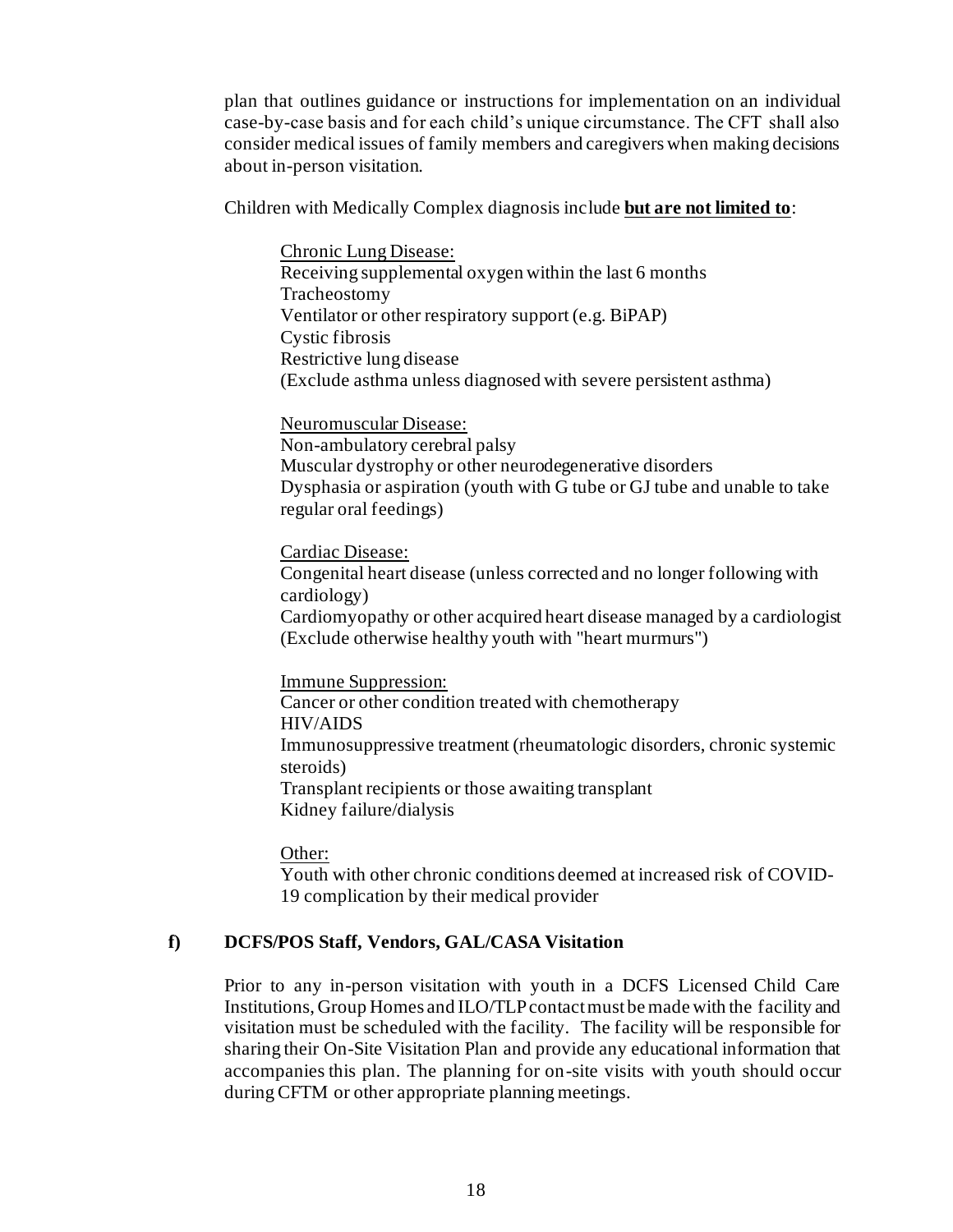plan that outlines guidance or instructions for implementation on an individual case-by-case basis and for each child's unique circumstance. The CFT shall also consider medical issues of family members and caregivers when making decisions about in-person visitation.

Children with Medically Complex diagnosis include **but are not limited to**:

Chronic Lung Disease: Receiving supplemental oxygen within the last 6 months Tracheostomy Ventilator or other respiratory support (e.g. BiPAP) Cystic fibrosis Restrictive lung disease (Exclude asthma unless diagnosed with severe persistent asthma)

Neuromuscular Disease: Non-ambulatory cerebral palsy Muscular dystrophy or other neurodegenerative disorders Dysphasia or aspiration (youth with G tube or GJ tube and unable to take regular oral feedings)

Cardiac Disease:

Congenital heart disease (unless corrected and no longer following with cardiology) Cardiomyopathy or other acquired heart disease managed by a cardiologist (Exclude otherwise healthy youth with "heart murmurs")

Immune Suppression: Cancer or other condition treated with chemotherapy HIV/AIDS Immunosuppressive treatment (rheumatologic disorders, chronic systemic steroids) Transplant recipients or those awaiting transplant Kidney failure/dialysis

Other:

Youth with other chronic conditions deemed at increased risk of COVID-19 complication by their medical provider

# **f) DCFS/POS Staff, Vendors, GAL/CASA Visitation**

Prior to any in-person visitation with youth in a DCFS Licensed Child Care Institutions, Group Homes and ILO/TLP contact must be made with the facility and visitation must be scheduled with the facility. The facility will be responsible for sharing their On-Site Visitation Plan and provide any educational information that accompanies this plan. The planning for on-site visits with youth should occur during CFTM or other appropriate planning meetings.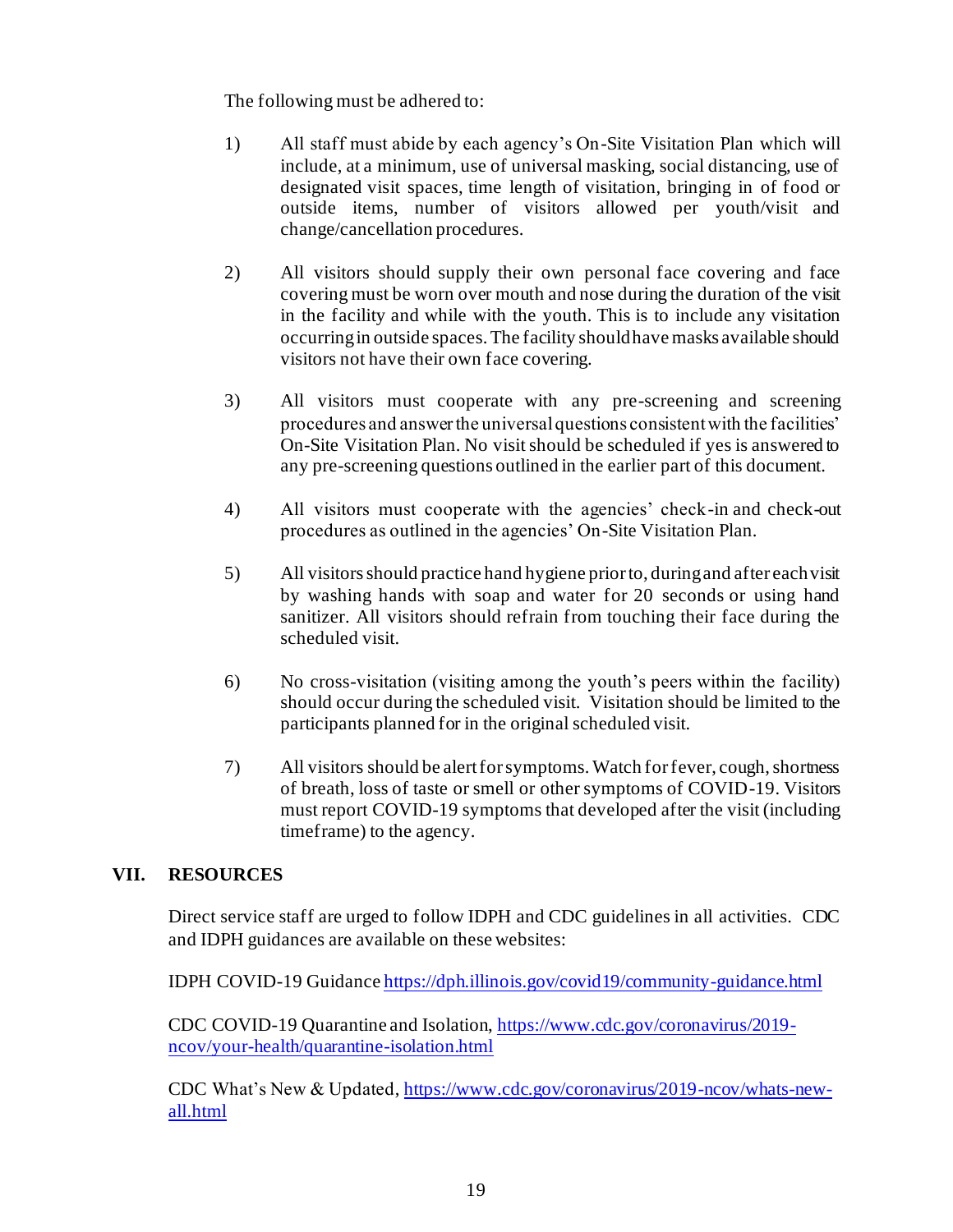The following must be adhered to:

- 1) All staff must abide by each agency's On-Site Visitation Plan which will include, at a minimum, use of universal masking, social distancing, use of designated visit spaces, time length of visitation, bringing in of food or outside items, number of visitors allowed per youth/visit and change/cancellation procedures.
- 2) All visitors should supply their own personal face covering and face covering must be worn over mouth and nose during the duration of the visit in the facility and while with the youth. This is to include any visitation occurring in outside spaces. The facility should have masks available should visitors not have their own face covering.
- 3) All visitors must cooperate with any pre-screening and screening procedures and answer the universal questions consistent with the facilities' On-Site Visitation Plan. No visit should be scheduled if yes is answered to any pre-screening questions outlined in the earlier part of this document.
- 4) All visitors must cooperate with the agencies' check-in and check-out procedures as outlined in the agencies' On-Site Visitation Plan.
- 5) All visitors should practice hand hygiene prior to, during and after each visit by washing hands with soap and water for 20 seconds or using hand sanitizer. All visitors should refrain from touching their face during the scheduled visit.
- 6) No cross-visitation (visiting among the youth's peers within the facility) should occur during the scheduled visit. Visitation should be limited to the participants planned for in the original scheduled visit.
- 7) All visitors should be alert for symptoms. Watch for fever, cough, shortness of breath, loss of taste or smell or other symptoms of COVID-19. Visitors must report COVID-19 symptoms that developed after the visit (including timeframe) to the agency.

# **VII. RESOURCES**

Direct service staff are urged to follow IDPH and CDC guidelines in all activities. CDC and IDPH guidances are available on these websites:

IDPH COVID-19 Guidanc[e https://dph.illinois.gov/covid19/community-guidance.html](https://dph.illinois.gov/covid19/community-guidance.html)

CDC COVID-19 Quarantine and Isolation[, https://www.cdc.gov/coronavirus/2019](https://www.cdc.gov/coronavirus/2019-ncov/your-health/quarantine-isolation.html) [ncov/your-health/quarantine-isolation.html](https://www.cdc.gov/coronavirus/2019-ncov/your-health/quarantine-isolation.html)

CDC What's New & Updated[, https://www.cdc.gov/coronavirus/2019-ncov/whats-new](https://www.cdc.gov/coronavirus/2019-ncov/whats-new-all.html)[all.html](https://www.cdc.gov/coronavirus/2019-ncov/whats-new-all.html)